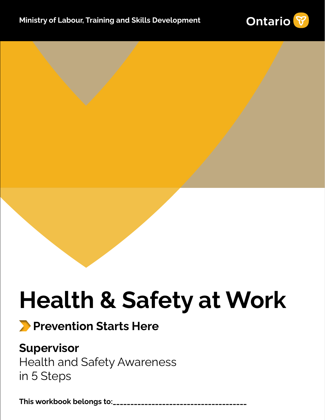

# **Health & Safety at Work**

## **Prevention Starts Here**

### **Supervisor**

Health and Safety Awareness in 5 Steps

**\_\_\_\_\_\_\_\_\_\_\_\_\_\_\_\_\_\_\_\_\_\_\_\_\_\_\_\_\_\_\_\_\_\_\_\_\_\_This workbook belongs to:**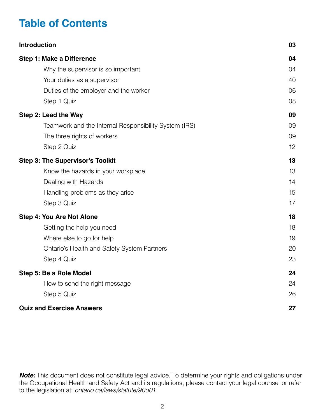### **Table of Contents**

| <b>Introduction</b>                                   | 03 |
|-------------------------------------------------------|----|
| Step 1: Make a Difference                             | 04 |
| Why the supervisor is so important                    | 04 |
| Your duties as a supervisor                           | 40 |
| Duties of the employer and the worker                 | 06 |
| Step 1 Quiz                                           | 08 |
| Step 2: Lead the Way                                  | 09 |
| Teamwork and the Internal Responsibility System (IRS) | 09 |
| The three rights of workers                           | 09 |
| Step 2 Quiz                                           | 12 |
| <b>Step 3: The Supervisor's Toolkit</b>               | 13 |
| Know the hazards in your workplace                    | 13 |
| Dealing with Hazards                                  | 14 |
| Handling problems as they arise                       | 15 |
| Step 3 Quiz                                           | 17 |
| <b>Step 4: You Are Not Alone</b>                      | 18 |
| Getting the help you need                             | 18 |
| Where else to go for help                             | 19 |
| Ontario's Health and Safety System Partners           | 20 |
| Step 4 Quiz                                           | 23 |
| Step 5: Be a Role Model                               | 24 |
| How to send the right message                         | 24 |
| Step 5 Quiz                                           | 26 |
| <b>Quiz and Exercise Answers</b>                      | 27 |

*Note:* This document does not constitute legal advice. To determine your rights and obligations under the Occupational Health and Safety Act and its regulations, please contact your legal counsel or refer to the legislation at: *[ontario.ca/laws/statute/90o01](http://ontario.ca/laws/statute/90o01) .*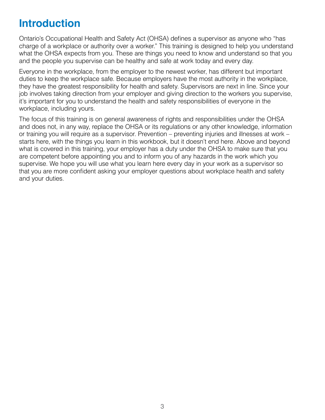### <span id="page-2-0"></span>**Introduction**

Ontario's Occupational Health and Safety Act (OHSA) defines a supervisor as anyone who "has charge of a workplace or authority over a worker." This training is designed to help you understand what the OHSA expects from you. These are things you need to know and understand so that you and the people you supervise can be healthy and safe at work today and every day.

Everyone in the workplace, from the employer to the newest worker, has different but important duties to keep the workplace safe. Because employers have the most authority in the workplace, they have the greatest responsibility for health and safety. Supervisors are next in line. Since your job involves taking direction from your employer and giving direction to the workers you supervise, it's important for you to understand the health and safety responsibilities of everyone in the workplace, including yours.

The focus of this training is on general awareness of rights and responsibilities under the OHSA and does not, in any way, replace the OHSA or its regulations or any other knowledge, information or training you will require as a supervisor. Prevention – preventing injuries and illnesses at work – starts here, with the things you learn in this workbook, but it doesn't end here. Above and beyond what is covered in this training, your employer has a duty under the OHSA to make sure that you are competent before appointing you and to inform you of any hazards in the work which you supervise. We hope you will use what you learn here every day in your work as a supervisor so that you are more confident asking your employer questions about workplace health and safety and your duties.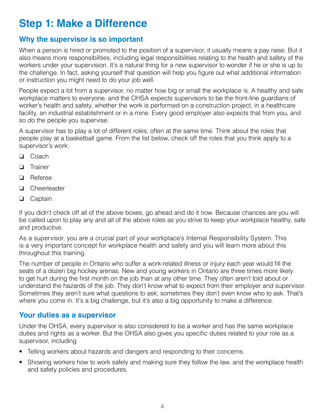### <span id="page-3-0"></span>**Step 1: Make a Difference**

#### <span id="page-3-1"></span>**Why the supervisor is so important**

When a person is hired or promoted to the position of a supervisor, it usually means a pay raise. But it also means more responsibilities, including legal responsibilities relating to the health and safety of the workers under your supervision. It's a natural thing for a new supervisor to wonder if he or she is up to the challenge. In fact, asking yourself that question will help you figure out what additional information or instruction you might need to do your job well.

People expect a lot from a supervisor, no matter how big or small the workplace is. A healthy and safe workplace matters to everyone, and the OHSA expects supervisors to be the front-line guardians of worker's health and safety, whether the work is performed on a construction project, in a healthcare facility, an industrial establishment or in a mine. Every good employer also expects that from you, and so do the people you supervise.

A supervisor has to play a lot of different roles, often at the same time. Think about the roles that people play at a basketball game. From the list below, check off the roles that you think apply to a supervisor's work:

- ❏ Coach
- ❏ Trainer
- ❏ Referee
- ❏ Cheerleader
- ❏ Captain

If you didn't check off all of the above boxes, go ahead and do it now. Because chances are you will be called upon to play any and all of the above roles as you strive to keep your workplace healthy, safe and productive.

As a supervisor, you are a crucial part of your workplace's Internal Responsibility System. This is a very important concept for workplace health and safety and you will learn more about this throughout this training.

The number of people in Ontario who suffer a work-related illness or injury each year would fill the seats of a dozen big hockey arenas. New and young workers in Ontario are three times more likely to get hurt during the first month on the job than at any other time. They often aren't told about or understand the hazards of the job. They don't know what to expect from their employer and supervisor. Sometimes they aren't sure what questions to ask; sometimes they don't even know who to ask. That's where you come in. It's a big challenge, but it's also a big opportunity to make a difference.

#### <span id="page-3-2"></span>**Your duties as a supervisor**

Under the OHSA, every supervisor is also considered to be a worker and has the same workplace duties and rights as a worker. But the OHSA also gives you specific duties related to your role as a supervisor, including

- Telling workers about hazards and dangers and responding to their concerns.
- Showing workers how to work safely and making sure they follow the law, and the workplace health and safety policies and procedures.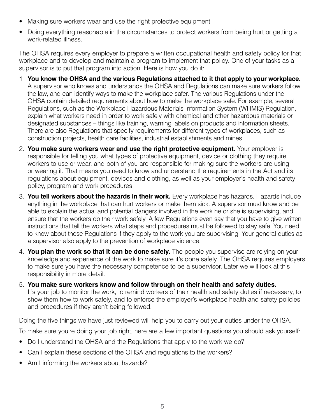- Making sure workers wear and use the right protective equipment.
- Doing everything reasonable in the circumstances to protect workers from being hurt or getting a work-related illness.

The OHSA requires every employer to prepare a written occupational health and safety policy for that workplace and to develop and maintain a program to implement that policy. One of your tasks as a supervisor is to put that program into action. Here is how you do it:

- 1. **You know the OHSA and the various Regulations attached to it that apply to your workplace.**  A supervisor who knows and understands the OHSA and Regulations can make sure workers follow the law, and can identify ways to make the workplace safer. The various Regulations under the OHSA contain detailed requirements about how to make the workplace safe. For example, several Regulations, such as the Workplace Hazardous Materials Information System (WHMIS) Regulation, explain what workers need in order to work safely with chemical and other hazardous materials or designated substances – things like training, warning labels on products and information sheets. There are also Regulations that specify requirements for different types of workplaces, such as construction projects, health care facilities, industrial establishments and mines.
- 2. **You make sure workers wear and use the right protective equipment.** Your employer is responsible for telling you what types of protective equipment, device or clothing they require workers to use or wear, and both of you are responsible for making sure the workers are using or wearing it. That means you need to know and understand the requirements in the Act and its regulations about equipment, devices and clothing, as well as your employer's health and safety policy, program and work procedures.
- 3. **You tell workers about the hazards in their work.** Every workplace has hazards. Hazards include anything in the workplace that can hurt workers or make them sick. A supervisor must know and be able to explain the actual and potential dangers involved in the work he or she is supervising, and ensure that the workers do their work safely. A few Regulations even say that you have to give written instructions that tell the workers what steps and procedures must be followed to stay safe. You need to know about these Regulations if they apply to the work you are supervising. Your general duties as a supervisor also apply to the prevention of workplace violence.
- 4. **You plan the work so that it can be done safely.** The people you supervise are relying on your knowledge and experience of the work to make sure it's done safely. The OHSA requires employers to make sure you have the necessary competence to be a supervisor. Later we will look at this responsibility in more detail.
- 5. **You make sure workers know and follow through on their health and safety duties.** It's your job to monitor the work, to remind workers of their health and safety duties if necessary, to show them how to work safely, and to enforce the employer's workplace health and safety policies and procedures if they aren't being followed.

Doing the five things we have just reviewed will help you to carry out your duties under the OHSA.

To make sure you're doing your job right, here are a few important questions you should ask yourself:

- Do I understand the OHSA and the Regulations that apply to the work we do?
- Can I explain these sections of the OHSA and regulations to the workers?
- Am I informing the workers about hazards?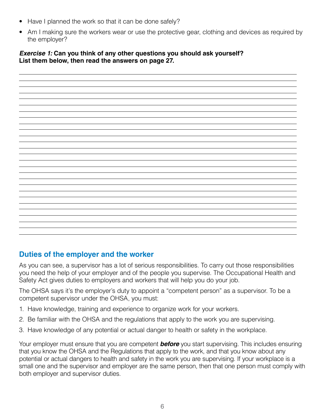- Have I planned the work so that it can be done safely?
- Am I making sure the workers wear or use the protective gear, clothing and devices as required by the employer?

#### *Exercise 1:* **Can you think of any other questions you should ask yourself? List them below, then read the answers on page 27.**

#### <span id="page-5-0"></span>**Duties of the employer and the worker**

As you can see, a supervisor has a lot of serious responsibilities. To carry out those responsibilities you need the help of your employer and of the people you supervise. The Occupational Health and Safety Act gives duties to employers and workers that will help you do your job.

The OHSA says it's the employer's duty to appoint a "competent person" as a supervisor. To be a competent supervisor under the OHSA, you must:

- 1. Have knowledge, training and experience to organize work for your workers.
- 2. Be familiar with the OHSA and the regulations that apply to the work you are supervising.
- 3. Have knowledge of any potential or actual danger to health or safety in the workplace.

Your employer must ensure that you are competent *before* you start supervising. This includes ensuring that you know the OHSA and the Regulations that apply to the work, and that you know about any potential or actual dangers to health and safety in the work you are supervising. If your workplace is a small one and the supervisor and employer are the same person, then that one person must comply with both employer and supervisor duties.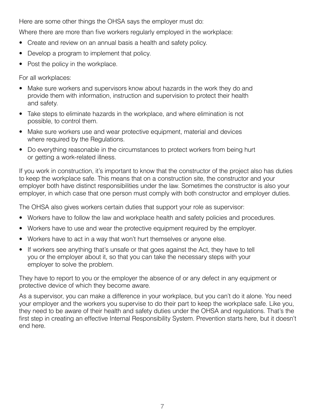Here are some other things the OHSA says the employer must do:

Where there are more than five workers regularly employed in the workplace:

- Create and review on an annual basis a health and safety policy.
- Develop a program to implement that policy.
- Post the policy in the workplace.

For all workplaces:

- Make sure workers and supervisors know about hazards in the work they do and provide them with information, instruction and supervision to protect their health and safety.
- Take steps to eliminate hazards in the workplace, and where elimination is not possible, to control them.
- Make sure workers use and wear protective equipment, material and devices where required by the Regulations.
- Do everything reasonable in the circumstances to protect workers from being hurt or getting a work-related illness.

If you work in construction, it's important to know that the constructor of the project also has duties to keep the workplace safe. This means that on a construction site, the constructor and your employer both have distinct responsibilities under the law. Sometimes the constructor is also your employer, in which case that one person must comply with both constructor and employer duties.

The OHSA also gives workers certain duties that support your role as supervisor:

- Workers have to follow the law and workplace health and safety policies and procedures.
- Workers have to use and wear the protective equipment required by the employer.
- Workers have to act in a way that won't hurt themselves or anyone else.
- If workers see anything that's unsafe or that goes against the Act, they have to tell you or the employer about it, so that you can take the necessary steps with your employer to solve the problem.

They have to report to you or the employer the absence of or any defect in any equipment or protective device of which they become aware.

As a supervisor, you can make a difference in your workplace, but you can't do it alone. You need your employer and the workers you supervise to do their part to keep the workplace safe. Like you, they need to be aware of their health and safety duties under the OHSA and regulations. That's the first step in creating an effective Internal Responsibility System. Prevention starts here, but it doesn't end here.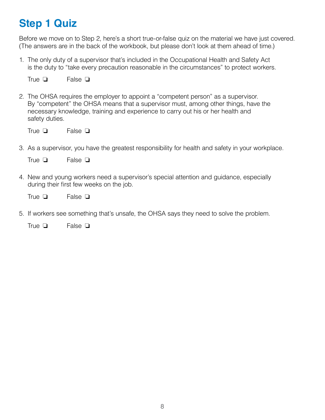### <span id="page-7-0"></span>**Step 1 Quiz**

Before we move on to Step 2, here's a short true-or-false quiz on the material we have just covered. (The answers are in the back of the workbook, but please don't look at them ahead of time.)

1. The only duty of a supervisor that's included in the Occupational Health and Safety Act is the duty to "take every precaution reasonable in the circumstances" to protect workers.

False **□** True  $\Box$ 

2. The OHSA requires the employer to appoint a "competent person" as a supervisor. By "competent" the OHSA means that a supervisor must, among other things, have the necessary knowledge, training and experience to carry out his or her health and safety duties.

False **□** True  $\Box$ 

3. As a supervisor, you have the greatest responsibility for health and safety in your workplace.

False **□** True  $\Box$ 

4. New and young workers need a supervisor's special attention and guidance, especially during their first few weeks on the job.

False **□** True  $\Box$ 

5. If workers see something that's unsafe, the OHSA says they need to solve the problem.

False **□** True  $\Box$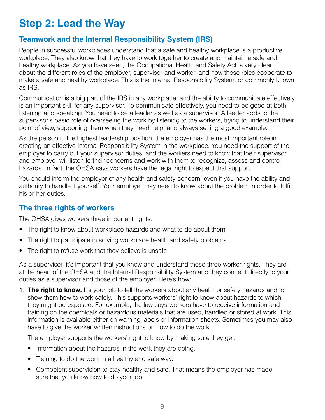### <span id="page-8-0"></span>**Step 2: Lead the Way**

#### <span id="page-8-1"></span>**Teamwork and the Internal Responsibility System (IRS)**

People in successful workplaces understand that a safe and healthy workplace is a productive workplace. They also know that they have to work together to create and maintain a safe and healthy workplace. As you have seen, the Occupational Health and Safety Act is very clear about the different roles of the employer, supervisor and worker, and how those roles cooperate to make a safe and healthy workplace. This is the Internal Responsibility System, or commonly known as IRS.

Communication is a big part of the IRS in any workplace, and the ability to communicate effectively is an important skill for any supervisor. To communicate effectively, you need to be good at both listening and speaking. You need to be a leader as well as a supervisor. A leader adds to the supervisor's basic role of overseeing the work by listening to the workers, trying to understand their point of view, supporting them when they need help, and always setting a good example.

As the person in the highest leadership position, the employer has the most important role in creating an effective Internal Responsibility System in the workplace. You need the support of the employer to carry out your supervisor duties, and the workers need to know that their supervisor and employer will listen to their concerns and work with them to recognize, assess and control hazards. In fact, the OHSA says workers have the legal right to expect that support.

You should inform the employer of any health and safety concern, even if you have the ability and authority to handle it yourself. Your employer may need to know about the problem in order to fulfill his or her duties.

#### <span id="page-8-2"></span>**The three rights of workers**

The OHSA gives workers three important rights:

- The right to know about workplace hazards and what to do about them
- The right to participate in solving workplace health and safety problems
- The right to refuse work that they believe is unsafe

As a supervisor, it's important that you know and understand those three worker rights. They are at the heart of the OHSA and the Internal Responsibility System and they connect directly to your duties as a supervisor and those of the employer. Here's how:

1. **The right to know.** It's your job to tell the workers about any health or safety hazards and to show them how to work safely. This supports workers' right to know about hazards to which they might be exposed. For example, the law says workers have to receive information and training on the chemicals or hazardous materials that are used, handled or stored at work. This information is available either on warning labels or information sheets. Sometimes you may also have to give the worker written instructions on how to do the work.

The employer supports the workers' right to know by making sure they get:

- Information about the hazards in the work they are doing.
- Training to do the work in a healthy and safe way.
- Competent supervision to stay healthy and safe. That means the employer has made sure that you know how to do your job.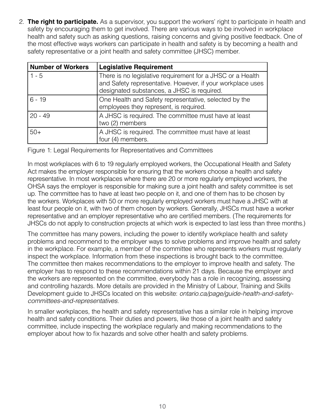2. **The right to participate.** As a supervisor, you support the workers' right to participate in health and safety by encouraging them to get involved. There are various ways to be involved in workplace health and safety such as asking questions, raising concerns and giving positive feedback. One of the most effective ways workers can participate in health and safety is by becoming a health and safety representative or a joint health and safety committee (JHSC) member.

| <b>Number of Workers</b> | <b>Legislative Requirement</b>                                                                                                                                         |
|--------------------------|------------------------------------------------------------------------------------------------------------------------------------------------------------------------|
| $1 - 5$                  | There is no legislative requirement for a JHSC or a Health<br>and Safety representative. However, if your workplace uses<br>designated substances, a JHSC is required. |
| $6 - 19$                 | One Health and Safety representative, selected by the<br>employees they represent, is required.                                                                        |
| $20 - 49$                | A JHSC is required. The committee must have at least<br>two (2) members                                                                                                |
| $50+$                    | A JHSC is required. The committee must have at least<br>four (4) members.                                                                                              |

Figure 1: Legal Requirements for Representatives and Committees

In most workplaces with 6 to 19 regularly employed workers, the Occupational Health and Safety Act makes the employer responsible for ensuring that the workers choose a health and safety representative. In most workplaces where there are 20 or more regularly employed workers, the OHSA says the employer is responsible for making sure a joint health and safety committee is set up. The committee has to have at least two people on it, and one of them has to be chosen by the workers. Workplaces with 50 or more regularly employed workers must have a JHSC with at least four people on it, with two of them chosen by workers. Generally, JHSCs must have a worker representative and an employer representative who are certified members. (The requirements for JHSCs do not apply to construction projects at which work is expected to last less than three months.)

The committee has many powers, including the power to identify workplace health and safety problems and recommend to the employer ways to solve problems and improve health and safety in the workplace. For example, a member of the committee who represents workers must regularly inspect the workplace. Information from these inspections is brought back to the committee. The committee then makes recommendations to the employer to improve health and safety. The employer has to respond to these recommendations within 21 days. Because the employer and the workers are represented on the committee, everybody has a role in recognizing, assessing and controlling hazards. More details are provided in the Ministry of Labour, Training and Skills [Development guide to JHSCs located on this website:](http://ontario.ca/page/guide-health-and-safety-committees-and-representatives) *ontario.ca/page/guide-health-and-safetycommittees-and-representatives.*

In smaller workplaces, the health and safety representative has a similar role in helping improve health and safety conditions. Their duties and powers, like those of a joint health and safety committee, include inspecting the workplace regularly and making recommendations to the employer about how to fix hazards and solve other health and safety problems.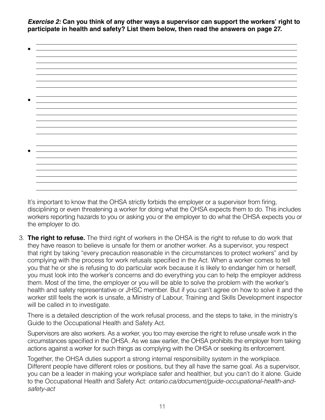*Exercise 2:* **Can you think of any other ways a supervisor can support the workers' right to participate in health and safety? List them below, then read the answers on page 27.**

It's important to know that the OHSA strictly forbids the employer or a supervisor from firing, disciplining or even threatening a worker for doing what the OHSA expects them to do. This includes workers reporting hazards to you or asking you or the employer to do what the OHSA expects you or the employer to do.

3. **The right to refuse.** The third right of workers in the OHSA is the right to refuse to do work that they have reason to believe is unsafe for them or another worker. As a supervisor, you respect that right by taking "every precaution reasonable in the circumstances to protect workers" and by complying with the process for work refusals specified in the Act. When a worker comes to tell you that he or she is refusing to do particular work because it is likely to endanger him or herself, you must look into the worker's concerns and do everything you can to help the employer address them. Most of the time, the employer or you will be able to solve the problem with the worker's health and safety representative or JHSC member. But if you can't agree on how to solve it and the worker still feels the work is unsafe, a Ministry of Labour, Training and Skills Development inspector will be called in to investigate.

There is a detailed description of the work refusal process, and the steps to take, in the ministry's Guide to the Occupational Health and Safety Act.

Supervisors are also workers. As a worker, you too may exercise the right to refuse unsafe work in the circumstances specified in the OHSA. As we saw earlier, the OHSA prohibits the employer from taking actions against a worker for such things as complying with the OHSA or seeking its enforcement.

Together, the OHSA duties support a strong internal responsibility system in the workplace. Different people have different roles or positions, but they all have the same goal. As a supervisor, you can be a leader in making your workplace safer and healthier, but you can't do it alone. Guide to the Occupational Health and Safety Act: *[ontario.ca/document/guide-occupational-health-and](http://ontario.ca/document/guide-occupational-health-and-safety-act)safety-act*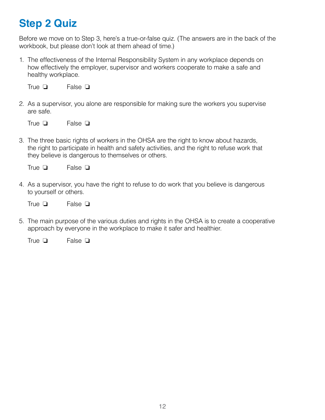### <span id="page-11-0"></span>**Step 2 Quiz**

Before we move on to Step 3, here's a true-or-false quiz. (The answers are in the back of the workbook, but please don't look at them ahead of time.)

1. The effectiveness of the Internal Responsibility System in any workplace depends on how effectively the employer, supervisor and workers cooperate to make a safe and healthy workplace.

False  $\Box$ True  $\Box$ 

2. As a supervisor, you alone are responsible for making sure the workers you supervise are safe.

False **□** True  $\Box$ 

3. The three basic rights of workers in the OHSA are the right to know about hazards, the right to participate in health and safety activities, and the right to refuse work that they believe is dangerous to themselves or others.

False **□** True  $\Box$ 

4. As a supervisor, you have the right to refuse to do work that you believe is dangerous to yourself or others.

False **□** True  $\Box$ 

5. The main purpose of the various duties and rights in the OHSA is to create a cooperative approach by everyone in the workplace to make it safer and healthier.

False  $\Box$ True  $\Box$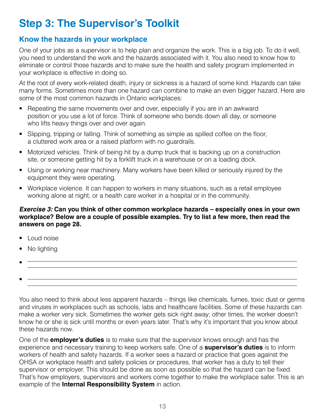### <span id="page-12-0"></span>**Step 3: The Supervisor's Toolkit**

#### <span id="page-12-1"></span>**Know the hazards in your workplace**

One of your jobs as a supervisor is to help plan and organize the work. This is a big job. To do it well, you need to understand the work and the hazards associated with it. You also need to know how to eliminate or control those hazards and to make sure the health and safety program implemented in your workplace is effective in doing so.

At the root of every work-related death, injury or sickness is a hazard of some kind. Hazards can take many forms. Sometimes more than one hazard can combine to make an even bigger hazard. Here are some of the most common hazards in Ontario workplaces:

- Repeating the same movements over and over, especially if you are in an awkward position or you use a lot of force. Think of someone who bends down all day, or someone who lifts heavy things over and over again.
- Slipping, tripping or falling. Think of something as simple as spilled coffee on the floor, a cluttered work area or a raised platform with no guardrails.
- Motorized vehicles. Think of being hit by a dump truck that is backing up on a construction site, or someone getting hit by a forklift truck in a warehouse or on a loading dock.
- Using or working near machinery. Many workers have been killed or seriously injured by the equipment they were operating.
- Workplace violence. It can happen to workers in many situations, such as a retail employee working alone at night, or a health care worker in a hospital or in the community.

#### *Exercise 3:* **Can you think of other common workplace hazards – especially ones in your own workplace? Below are a couple of possible examples. Try to list a few more, then read the answers on page 28.**

- Loud noise
- No lighting
- •
- •

You also need to think about less apparent hazards – things like chemicals, fumes, toxic dust or germs and viruses in workplaces such as schools, labs and healthcare facilities. Some of these hazards can make a worker very sick. Sometimes the worker gets sick right away; other times, the worker doesn't know he or she is sick until months or even years later. That's why it's important that you know about these hazards now.

One of the **employer's duties** is to make sure that the supervisor knows enough and has the experience and necessary training to keep workers safe. One of a **supervisor's duties** is to inform workers of health and safety hazards. If a worker sees a hazard or practice that goes against the OHSA or workplace health and safety policies or procedures, that worker has a duty to tell their supervisor or employer. This should be done as soon as possible so that the hazard can be fixed. That's how employers, supervisors and workers come together to make the workplace safer. This is an example of the **Internal Responsibility System** in action.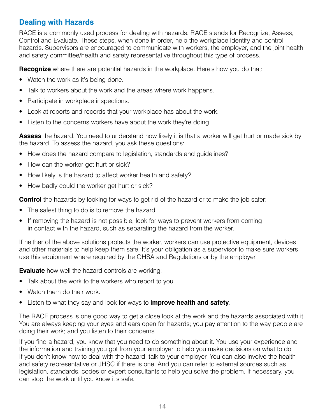#### <span id="page-13-0"></span>**Dealing with Hazards**

RACE is a commonly used process for dealing with hazards. RACE stands for Recognize, Assess, Control and Evaluate. These steps, when done in order, help the workplace identify and control hazards. Supervisors are encouraged to communicate with workers, the employer, and the joint health and safety committee/health and safety representative throughout this type of process.

**Recognize** where there are potential hazards in the workplace. Here's how you do that:

- Watch the work as it's being done.
- Talk to workers about the work and the areas where work happens.
- Participate in workplace inspections.
- Look at reports and records that your workplace has about the work.
- Listen to the concerns workers have about the work they're doing.

**Assess** the hazard. You need to understand how likely it is that a worker will get hurt or made sick by the hazard. To assess the hazard, you ask these questions:

- How does the hazard compare to legislation, standards and guidelines?
- How can the worker get hurt or sick?
- How likely is the hazard to affect worker health and safety?
- How badly could the worker get hurt or sick?

**Control** the hazards by looking for ways to get rid of the hazard or to make the job safer:

- The safest thing to do is to remove the hazard.
- If removing the hazard is not possible, look for ways to prevent workers from coming in contact with the hazard, such as separating the hazard from the worker.

If neither of the above solutions protects the worker, workers can use protective equipment, devices and other materials to help keep them safe. It's your obligation as a supervisor to make sure workers use this equipment where required by the OHSA and Regulations or by the employer.

**Evaluate** how well the hazard controls are working:

- Talk about the work to the workers who report to you.
- Watch them do their work.
- Listen to what they say and look for ways to **improve health and safety**.

The RACE process is one good way to get a close look at the work and the hazards associated with it. You are always keeping your eyes and ears open for hazards; you pay attention to the way people are doing their work; and you listen to their concerns.

If you find a hazard, you know that you need to do something about it. You use your experience and the information and training you got from your employer to help you make decisions on what to do. If you don't know how to deal with the hazard, talk to your employer. You can also involve the health and safety representative or JHSC if there is one. And you can refer to external sources such as legislation, standards, codes or expert consultants to help you solve the problem. If necessary, you can stop the work until you know it's safe.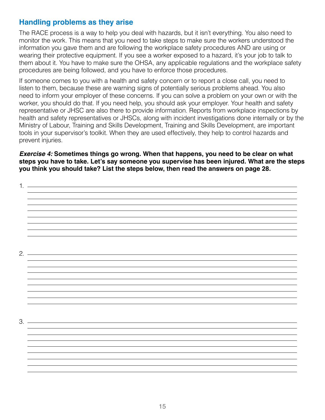#### <span id="page-14-0"></span>**Handling problems as they arise**

The RACE process is a way to help you deal with hazards, but it isn't everything. You also need to monitor the work. This means that you need to take steps to make sure the workers understood the information you gave them and are following the workplace safety procedures AND are using or wearing their protective equipment. If you see a worker exposed to a hazard, it's your job to talk to them about it. You have to make sure the OHSA, any applicable regulations and the workplace safety procedures are being followed, and you have to enforce those procedures.

If someone comes to you with a health and safety concern or to report a close call, you need to listen to them, because these are warning signs of potentially serious problems ahead. You also need to inform your employer of these concerns. If you can solve a problem on your own or with the worker, you should do that. If you need help, you should ask your employer. Your health and safety representative or JHSC are also there to provide information. Reports from workplace inspections by health and safety representatives or JHSCs, along with incident investigations done internally or by the Ministry of Labour, Training and Skills Development, Training and Skills Development, are important tools in your supervisor's toolkit. When they are used effectively, they help to control hazards and prevent injuries.

*Exercise 4:* **Sometimes things go wrong. When that happens, you need to be clear on what steps you have to take. Let's say someone you supervise has been injured. What are the steps you think you should take? List the steps below, then read the answers on page 28.**

| 1.     |  |  |
|--------|--|--|
|        |  |  |
|        |  |  |
|        |  |  |
|        |  |  |
|        |  |  |
|        |  |  |
|        |  |  |
| $2.$ — |  |  |
|        |  |  |
|        |  |  |
|        |  |  |
|        |  |  |
|        |  |  |
|        |  |  |
|        |  |  |
| 3.     |  |  |
|        |  |  |
|        |  |  |
|        |  |  |
|        |  |  |
|        |  |  |
|        |  |  |
|        |  |  |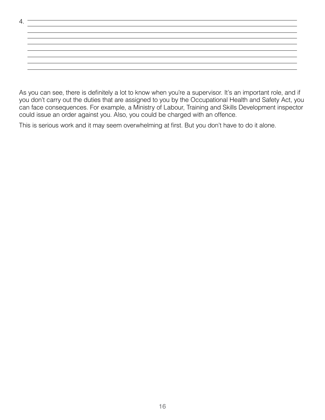| 4. |  |
|----|--|
|    |  |
|    |  |
|    |  |
|    |  |
|    |  |
|    |  |
|    |  |

As you can see, there is definitely a lot to know when you're a supervisor. It's an important role, and if you don't carry out the duties that are assigned to you by the Occupational Health and Safety Act, you can face consequences. For example, a Ministry of Labour, Training and Skills Development inspector could issue an order against you. Also, you could be charged with an offence.

This is serious work and it may seem overwhelming at first. But you don't have to do it alone.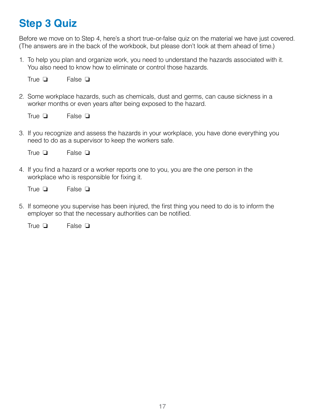### <span id="page-16-0"></span>**Step 3 Quiz**

Before we move on to Step 4, here's a short true-or-false quiz on the material we have just covered. (The answers are in the back of the workbook, but please don't look at them ahead of time.)

1. To help you plan and organize work, you need to understand the hazards associated with it. You also need to know how to eliminate or control those hazards.

False **□** True  $\Box$ 

2. Some workplace hazards, such as chemicals, dust and germs, can cause sickness in a worker months or even years after being exposed to the hazard.

False **□** True  $\Box$ 

3. If you recognize and assess the hazards in your workplace, you have done everything you need to do as a supervisor to keep the workers safe.

False  $\Box$ True  $\Box$ 

4. If you find a hazard or a worker reports one to you, you are the one person in the workplace who is responsible for fixing it.

False  $\Box$ True  $\Box$ 

5. If someone you supervise has been injured, the first thing you need to do is to inform the employer so that the necessary authorities can be notified.

False **□** True  $\Box$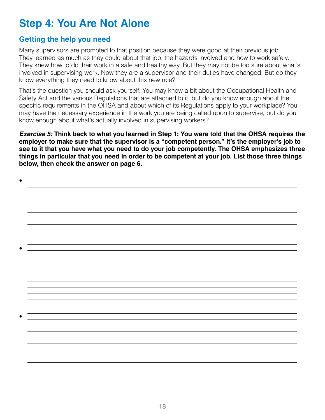### <span id="page-17-0"></span>**Step 4: You Are Not Alone**

#### <span id="page-17-1"></span>**Getting the help you need**

Many supervisors are promoted to that position because they were good at their previous job. They learned as much as they could about that job, the hazards involved and how to work safely. They knew how to do their work in a safe and healthy way. But they may not be too sure about what's involved in supervising work. Now they are a supervisor and their duties have changed. But do they know everything they need to know about this new role?

That's the question you should ask yourself. You may know a bit about the Occupational Health and Safety Act and the various Regulations that are attached to it, but do you know enough about the specific requirements in the OHSA and about which of its Regulations apply to your workplace? You may have the necessary experience in the work you are being called upon to supervise, but do you know enough about what's actually involved in supervising workers?

*Exercise 5:* **Think back to what you learned in Step 1: You were told that the OHSA requires the employer to make sure that the supervisor is a "competent person." It's the employer's job to see to it that you have what you need to do your job competently. The OHSA emphasizes three things in particular that you need in order to be competent at your job. List those three things below, then check the answer on page 6.**

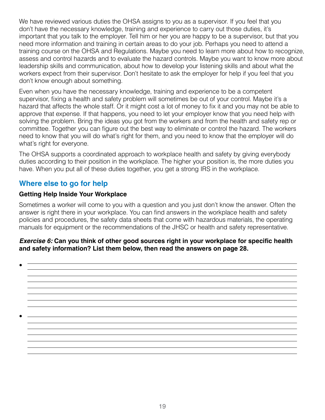We have reviewed various duties the OHSA assigns to you as a supervisor. If you feel that you don't have the necessary knowledge, training and experience to carry out those duties, it's important that you talk to the employer. Tell him or her you are happy to be a supervisor, but that you need more information and training in certain areas to do your job. Perhaps you need to attend a training course on the OHSA and Regulations. Maybe you need to learn more about how to recognize, assess and control hazards and to evaluate the hazard controls. Maybe you want to know more about leadership skills and communication, about how to develop your listening skills and about what the workers expect from their supervisor. Don't hesitate to ask the employer for help if you feel that you don't know enough about something.

Even when you have the necessary knowledge, training and experience to be a competent supervisor, fixing a health and safety problem will sometimes be out of your control. Maybe it's a hazard that affects the whole staff. Or it might cost a lot of money to fix it and you may not be able to approve that expense. If that happens, you need to let your employer know that you need help with solving the problem. Bring the ideas you got from the workers and from the health and safety rep or committee. Together you can figure out the best way to eliminate or control the hazard. The workers need to know that you will do what's right for them, and you need to know that the employer will do what's right for everyone.

The OHSA supports a coordinated approach to workplace health and safety by giving everybody duties according to their position in the workplace. The higher your position is, the more duties you have. When you put all of these duties together, you get a strong IRS in the workplace.

#### <span id="page-18-0"></span>**Where else to go for help**

#### **Getting Help Inside Your Workplace**

Sometimes a worker will come to you with a question and you just don't know the answer. Often the answer is right there in your workplace. You can find answers in the workplace health and safety policies and procedures, the safety data sheets that come with hazardous materials, the operating manuals for equipment or the recommendations of the JHSC or health and safety representative.

#### *Exercise 6:* **Can you think of other good sources right in your workplace for specific health and safety information? List them below, then read the answers on page 28.**

•

•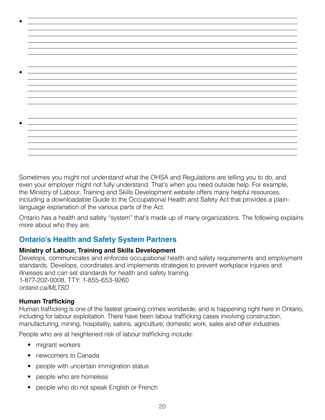Sometimes you might not understand what the OHSA and Regulations are telling you to do, and even your employer might not fully understand. That's when you need outside help. For example, the Ministry of Labour, Training and Skills Development website offers many helpful resources, including a downloadable Guide to the Occupational Health and Safety Act that provides a plainlanguage explanation of the various parts of the Act.

Ontario has a health and safety "system" that's made up of many organizations. The following explains more about who they are.

#### <span id="page-19-0"></span>**Ontario's Health and Safety System Partners**

#### **Ministry of Labour, Training and Skills Development**

Develops, communicates and enforces occupational health and safety requirements and employment standards. Develops, coordinates and implements strategies to prevent workplace injuries and illnesses and can set standards for health and safety training. 1-877-202-0008, TTY: 1-855-653-9260 *[ontario.ca/MLTSD](http://ontario.ca/MLTSD)*

#### **Human Trafficking**

Human trafficking is one of the fastest growing crimes worldwide, and is happening right here in Ontario, including for labour exploitation. There have been labour trafficking cases involving construction, manufacturing, mining, hospitality, salons, agriculture, domestic work, sales and other industries.

People who are at heightened risk of labour trafficking include:

- migrant workers
- newcomers to Canada
- people with uncertain immigration status
- people who are homeless
- people who do not speak English or French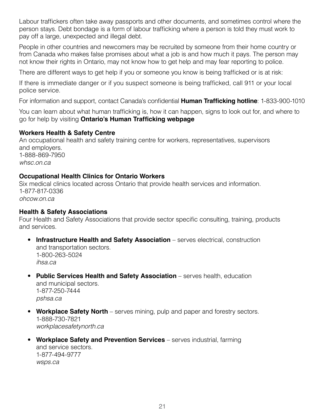Labour traffickers often take away passports and other documents, and sometimes control where the person stays. Debt bondage is a form of labour trafficking where a person is told they must work to pay off a large, unexpected and illegal debt.

People in other countries and newcomers may be recruited by someone from their home country or from Canada who makes false promises about what a job is and how much it pays. The person may not know their rights in Ontario, may not know how to get help and may fear reporting to police.

There are different ways to get help if you or someone you know is being trafficked or is at risk:

If there is immediate danger or if you suspect someone is being trafficked, call 911 or your local police service.

For information and support, contact Canada's confidential **[Human Trafficking](http://www.canadianhumantraffickinghotline.ca/) hotline**: 1-833-900-1010

You can learn about what human trafficking is, how it can happen, signs to look out for, and where to go for help by visiting **[Ontario's Human Trafficking webpage](https://www.ontario.ca/page/human-trafficking)**

#### **Workers Health & Safety Centre**

An occupational health and safety training centre for workers, representatives, supervisors and employers. 1-888-869-7950 *[whsc.on.ca](http://whsc.on.ca)*

#### **Occupational Health Clinics for Ontario Workers**

Six medical clinics located across Ontario that provide health services and information. 1-877-817-0336 *[ohcow.on.ca](http://www.ohcow.on.ca)*

#### **Health & Safety Associations**

Four Health and Safety Associations that provide sector specific consulting, training, products and services.

- **Infrastructure Health and Safety Association** serves electrical, construction and transportation sectors. 1-800-263-5024 *[ihsa.ca](http://ihsa.ca)*
- **Public Services Health and Safety Association** serves health, education and municipal sectors. 1-877-250-7444 *[pshsa.ca](http://pshsa.ca)*
- **Workplace Safety North** serves mining, pulp and paper and forestry sectors. 1-888-730-7821 *[workplacesafetynorth.ca](http://workplacesafetynorth.ca)*
- **Workplace Safety and Prevention Services** serves industrial, farming and service sectors. 1-877-494-9777 *[wsps.ca](http://wsps.ca)*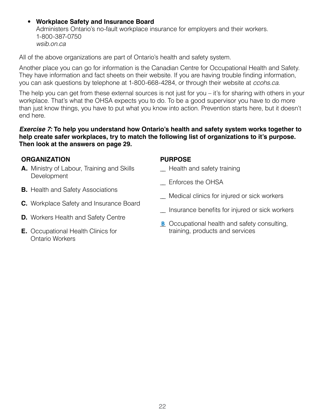#### • **Workplace Safety and Insurance Board**

Administers Ontario's no-fault workplace insurance for employers and their workers. 1-800-387-0750 *[wsib.on.ca](http://wsib.on.ca)*

All of the above organizations are part of Ontario's health and safety system.

Another place you can go for information is the Canadian Centre for Occupational Health and Safety. They have information and fact sheets on their website. If you are having trouble finding information, you can ask questions by telephone at 1-800-668-4284, or through their website at *[ccohs.ca](http://ccohs.ca)*.

The help you can get from these external sources is not just for you – it's for sharing with others in your workplace. That's what the OHSA expects you to do. To be a good supervisor you have to do more than just know things, you have to put what you know into action. Prevention starts here, but it doesn't end here.

#### *Exercise 7:* **To help you understand how Ontario's health and safety system works together to help create safer workplaces, try to match the following list of organizations to it's purpose. Then look at the answers on page 29.**

#### **ORGANIZATION**

- **A.** Ministry of Labour, Training and Skills **Development**
- **B.** Health and Safety Associations
- **C.** Workplace Safety and Insurance Board
- **D.** Workers Health and Safety Centre
- **E.** Occupational Health Clinics for Ontario Workers

#### **PURPOSE**

- \_\_ Health and safety training
- \_\_ Enforces the OHSA
- \_\_ Medical clinics for injured or sick workers
- \_\_ Insurance benefits for injured or sick workers
- **B** Occupational health and safety consulting, training, products and services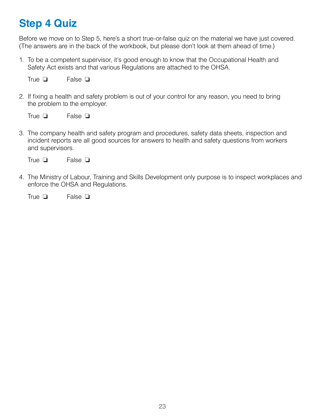### <span id="page-22-0"></span>**Step 4 Quiz**

Before we move on to Step 5, here's a short true-or-false quiz on the material we have just covered. (The answers are in the back of the workbook, but please don't look at them ahead of time.)

1. To be a competent supervisor, it's good enough to know that the Occupational Health and Safety Act exists and that various Regulations are attached to the OHSA.

False **□** True  $\Box$ 

2. If fixing a health and safety problem is out of your control for any reason, you need to bring the problem to the employer.

False  $\Box$ True  $\Box$ 

3. The company health and safety program and procedures, safety data sheets, inspection and incident reports are all good sources for answers to health and safety questions from workers and supervisors.

False **□** True  $\Box$ 

4. The Ministry of Labour, Training and Skills Development only purpose is to inspect workplaces and enforce the OHSA and Regulations.

False **□** True  $\Box$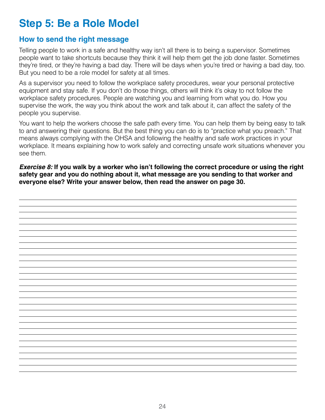### <span id="page-23-0"></span>**Step 5: Be a Role Model**

#### <span id="page-23-1"></span>**How to send the right message**

Telling people to work in a safe and healthy way isn't all there is to being a supervisor. Sometimes people want to take shortcuts because they think it will help them get the job done faster. Sometimes they're tired, or they're having a bad day. There will be days when you're tired or having a bad day, too. But you need to be a role model for safety at all times.

As a supervisor you need to follow the workplace safety procedures, wear your personal protective equipment and stay safe. If you don't do those things, others will think it's okay to not follow the workplace safety procedures. People are watching you and learning from what you do. How you supervise the work, the way you think about the work and talk about it, can affect the safety of the people you supervise.

You want to help the workers choose the safe path every time. You can help them by being easy to talk to and answering their questions. But the best thing you can do is to "practice what you preach." That means always complying with the OHSA and following the healthy and safe work practices in your workplace. It means explaining how to work safely and correcting unsafe work situations whenever you see them.

*Exercise 8:* **If you walk by a worker who isn't following the correct procedure or using the right safety gear and you do nothing about it, what message are you sending to that worker and everyone else? Write your answer below, then read the answer on page 30.**

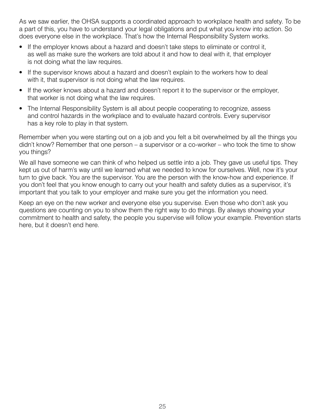As we saw earlier, the OHSA supports a coordinated approach to workplace health and safety. To be a part of this, you have to understand your legal obligations and put what you know into action. So does everyone else in the workplace. That's how the Internal Responsibility System works.

- If the employer knows about a hazard and doesn't take steps to eliminate or control it, as well as make sure the workers are told about it and how to deal with it, that employer is not doing what the law requires.
- If the supervisor knows about a hazard and doesn't explain to the workers how to deal with it, that supervisor is not doing what the law requires.
- If the worker knows about a hazard and doesn't report it to the supervisor or the employer, that worker is not doing what the law requires.
- The Internal Responsibility System is all about people cooperating to recognize, assess and control hazards in the workplace and to evaluate hazard controls. Every supervisor has a key role to play in that system.

Remember when you were starting out on a job and you felt a bit overwhelmed by all the things you didn't know? Remember that one person – a supervisor or a co-worker – who took the time to show you things?

We all have someone we can think of who helped us settle into a job. They gave us useful tips. They kept us out of harm's way until we learned what we needed to know for ourselves. Well, now it's your turn to give back. You are the supervisor. You are the person with the know-how and experience. If you don't feel that you know enough to carry out your health and safety duties as a supervisor, it's important that you talk to your employer and make sure you get the information you need.

Keep an eye on the new worker and everyone else you supervise. Even those who don't ask you questions are counting on you to show them the right way to do things. By always showing your commitment to health and safety, the people you supervise will follow your example. Prevention starts here, but it doesn't end here.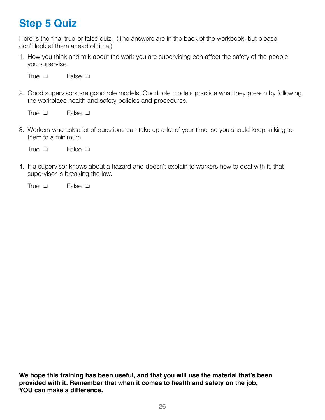### <span id="page-25-0"></span>**Step 5 Quiz**

Here is the final true-or-false quiz. (The answers are in the back of the workbook, but please don't look at them ahead of time.)

1. How you think and talk about the work you are supervising can affect the safety of the people you supervise.

False **□** True  $\Box$ 

2. Good supervisors are good role models. Good role models practice what they preach by following the workplace health and safety policies and procedures.

False **□** True  $\Box$ 

3. Workers who ask a lot of questions can take up a lot of your time, so you should keep talking to them to a minimum.

False **□** True  $\Box$ 

4. If a supervisor knows about a hazard and doesn't explain to workers how to deal with it, that supervisor is breaking the law.

False **□** True  $\Box$ 

**We hope this training has been useful, and that you will use the material that's been provided with it. Remember that when it comes to health and safety on the job, YOU can make a difference.**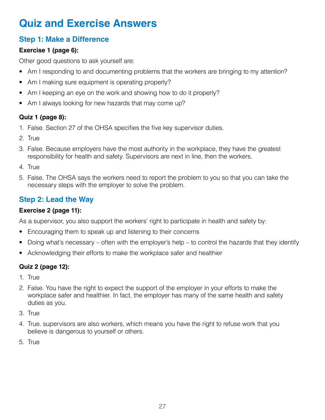### <span id="page-26-0"></span>**Quiz and Exercise Answers**

#### **Step 1: Make a Difference**

#### **Exercise 1 (page 6):**

Other good questions to ask yourself are:

- Am I responding to and documenting problems that the workers are bringing to my attention?
- Am I making sure equipment is operating properly?
- Am I keeping an eye on the work and showing how to do it properly?
- Am I always looking for new hazards that may come up?

#### **Quiz 1 (page 8):**

- 1. False. Section 27 of the OHSA specifies the five key supervisor duties.
- 2. True
- 3. False. Because employers have the most authority in the workplace, they have the greatest responsibility for health and safety. Supervisors are next in line, then the workers.
- 4. True
- 5. False. The OHSA says the workers need to report the problem to you so that you can take the necessary steps with the employer to solve the problem.

### **Step 2: Lead the Way**

#### **Exercise 2 (page 11):**

As a supervisor, you also support the workers' right to participate in health and safety by:

- Encouraging them to speak up and listening to their concerns
- Doing what's necessary often with the employer's help to control the hazards that they identify
- Acknowledging their efforts to make the workplace safer and healthier

#### **Quiz 2 (page 12):**

- 1. True
- 2. False. You have the right to expect the support of the employer in your efforts to make the workplace safer and healthier. In fact, the employer has many of the same health and safety duties as you.
- 3. True
- 4. True. supervisors are also workers, which means you have the right to refuse work that you believe is dangerous to yourself or others.
- 5. True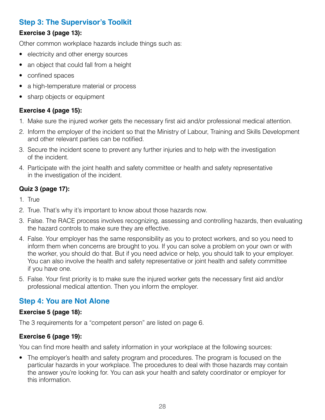#### **Step 3: The Supervisor's Toolkit**

#### **Exercise 3 (page 13):**

Other common workplace hazards include things such as:

- electricity and other energy sources
- an object that could fall from a height
- confined spaces
- a high-temperature material or process
- sharp objects or equipment

#### **Exercise 4 (page 15):**

- 1. Make sure the injured worker gets the necessary first aid and/or professional medical attention.
- 2. Inform the employer of the incident so that the Ministry of Labour, Training and Skills Development and other relevant parties can be notified.
- 3. Secure the incident scene to prevent any further injuries and to help with the investigation of the incident.
- 4. Participate with the joint health and safety committee or health and safety representative in the investigation of the incident.

#### **Quiz 3 (page 17):**

- 1. True
- 2. True. That's why it's important to know about those hazards now.
- 3. False. The RACE process involves recognizing, assessing and controlling hazards, then evaluating the hazard controls to make sure they are effective.
- 4. False. Your employer has the same responsibility as you to protect workers, and so you need to inform them when concerns are brought to you. If you can solve a problem on your own or with the worker, you should do that. But if you need advice or help, you should talk to your employer. You can also involve the health and safety representative or joint health and safety committee if you have one.
- 5. False. Your first priority is to make sure the injured worker gets the necessary first aid and/or professional medical attention. Then you inform the employer.

#### **Step 4: You are Not Alone**

#### **Exercise 5 (page 18):**

The 3 requirements for a "competent person" are listed on page 6.

#### **Exercise 6 (page 19):**

You can find more health and safety information in your workplace at the following sources:

• The employer's health and safety program and procedures. The program is focused on the particular hazards in your workplace. The procedures to deal with those hazards may contain the answer you're looking for. You can ask your health and safety coordinator or employer for this information.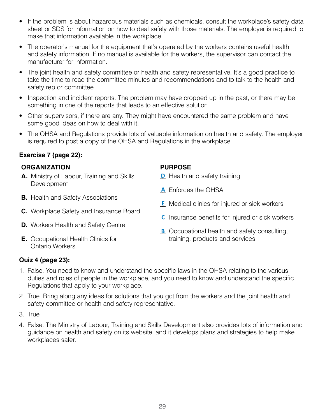- If the problem is about hazardous materials such as chemicals, consult the workplace's safety data sheet or SDS for information on how to deal safely with those materials. The employer is required to make that information available in the workplace.
- The operator's manual for the equipment that's operated by the workers contains useful health and safety information. If no manual is available for the workers, the supervisor can contact the manufacturer for information.
- The joint health and safety committee or health and safety representative. It's a good practice to take the time to read the committee minutes and recommendations and to talk to the health and safety rep or committee.
- Inspection and incident reports. The problem may have cropped up in the past, or there may be something in one of the reports that leads to an effective solution.
- Other supervisors, if there are any. They might have encountered the same problem and have some good ideas on how to deal with it.
- The OHSA and Regulations provide lots of valuable information on health and safety. The employer is required to post a copy of the OHSA and Regulations in the workplace

#### **Exercise 7 (page 22):**

#### **ORGANIZATION PURPOSE**

- **A.** Ministry of Labour, Training and Skills **Development**
- **B.** Health and Safety Associations
- **C.** Workplace Safety and Insurance Board
- **D.** Workers Health and Safety Centre
- **E.** Occupational Health Clinics for Ontario Workers

- **D** Health and safety training
- A Enforces the OHSA
- **E** Medical clinics for injured or sick workers
- C Insurance benefits for injured or sick workers
- **B** Occupational health and safety consulting, training, products and services

#### **Quiz 4 (page 23):**

- 1. False. You need to know and understand the specific laws in the OHSA relating to the various duties and roles of people in the workplace, and you need to know and understand the specific Regulations that apply to your workplace.
- 2. True. Bring along any ideas for solutions that you got from the workers and the joint health and safety committee or health and safety representative.
- 3. True
- 4. False. The Ministry of Labour, Training and Skills Development also provides lots of information and guidance on health and safety on its website, and it develops plans and strategies to help make workplaces safer.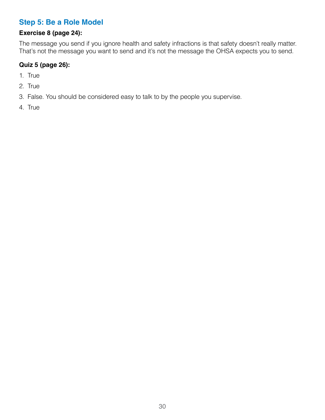#### **Step 5: Be a Role Model**

#### **Exercise 8 (page 24):**

The message you send if you ignore health and safety infractions is that safety doesn't really matter. That's not the message you want to send and it's not the message the OHSA expects you to send.

#### **Quiz 5 (page 26):**

- 1. True
- 2. True
- 3. False. You should be considered easy to talk to by the people you supervise.
- 4. True